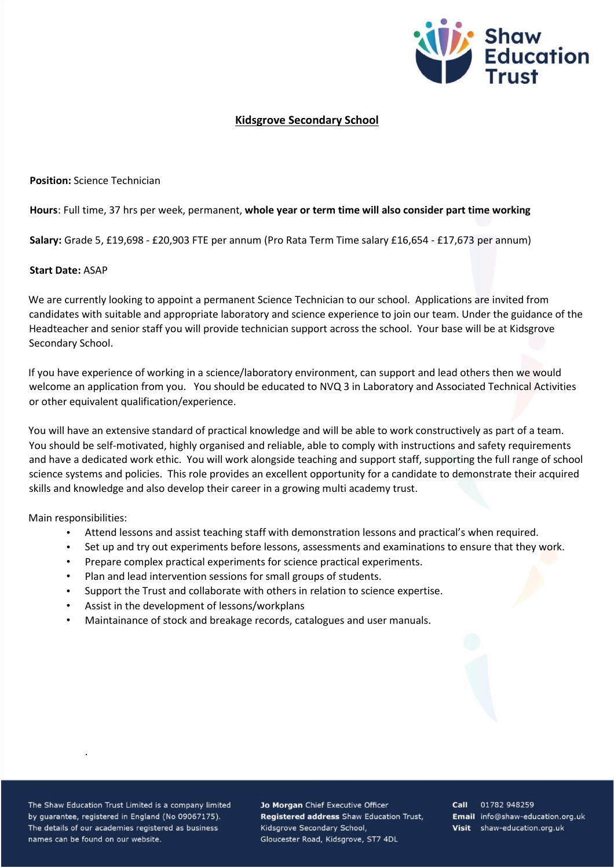

## **Kidsgrove Secondary School**

**Position:** Science Technician

## **Hours**: Full time, 37 hrs per week, permanent, **whole year or term time will also consider part time working**

**Salary:** Grade 5, £19,698 - £20,903 FTE per annum (Pro Rata Term Time salary £16,654 - £17,673 per annum)

## **Start Date:** ASAP

We are currently looking to appoint a permanent Science Technician to our school. Applications are invited from candidates with suitable and appropriate laboratory and science experience to join our team. Under the guidance of the Headteacher and senior staff you will provide technician support across the school. Your base will be at Kidsgrove Secondary School.

If you have experience of working in a science/laboratory environment, can support and lead others then we would welcome an application from you. You should be educated to NVQ 3 in Laboratory and Associated Technical Activities or other equivalent qualification/experience.

You will have an extensive standard of practical knowledge and will be able to work constructively as part of a team. You should be self-motivated, highly organised and reliable, able to comply with instructions and safety requirements and have a dedicated work ethic. You will work alongside teaching and support staff, supporting the full range of school science systems and policies. This role provides an excellent opportunity for a candidate to demonstrate their acquired skills and knowledge and also develop their career in a growing multi academy trust.

Main responsibilities:

- Attend lessons and assist teaching staff with demonstration lessons and practical's when required.
- Set up and try out experiments before lessons, assessments and examinations to ensure that they work.
- Prepare complex practical experiments for science practical experiments.
- Plan and lead intervention sessions for small groups of students.
- Support the Trust and collaborate with others in relation to science expertise.
- Assist in the development of lessons/workplans
- Maintainance of stock and breakage records, catalogues and user manuals.

The Shaw Education Trust Limited is a company limited by guarantee, registered in England (No 09067175). The details of our academies registered as business names can be found on our website.

.

Jo Morgan Chief Executive Officer Registered address Shaw Education Trust, Kidsgrove Secondary School, Gloucester Road, Kidsgrove, ST7 4DL

Call 01782 948259 Email info@shaw-education.org.uk Visit shaw-education.org.uk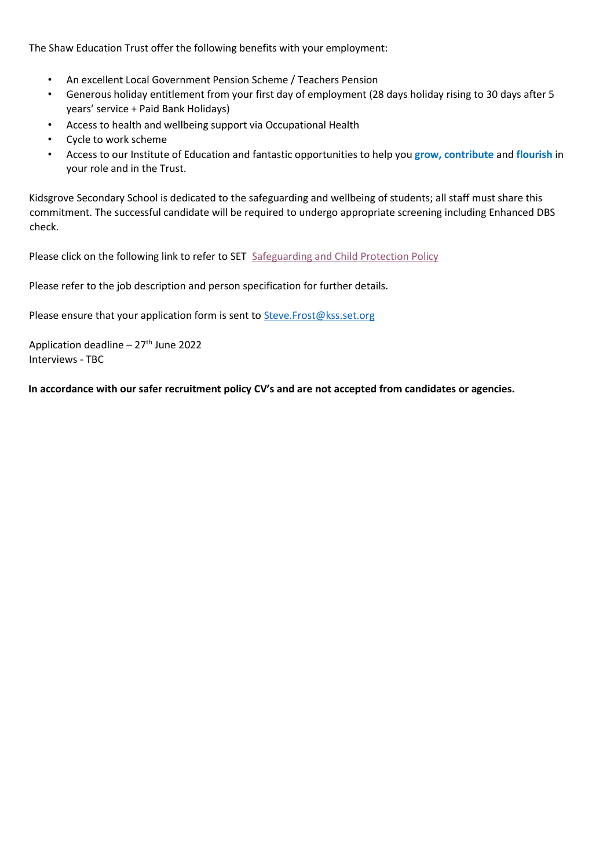The Shaw Education Trust offer the following benefits with your employment:

- An excellent Local Government Pension Scheme / Teachers Pension
- Generous holiday entitlement from your first day of employment (28 days holiday rising to 30 days after 5 years' service + Paid Bank Holidays)
- Access to health and wellbeing support via Occupational Health
- Cycle to work scheme
- Access to our Institute of Education and fantastic opportunities to help you **grow, contribute** and **flourish** in your role and in the Trust.

Kidsgrove Secondary School is dedicated to the safeguarding and wellbeing of students; all staff must share this commitment. The successful candidate will be required to undergo appropriate screening including Enhanced DBS check.

Please click on the following link to refer to SET [Safeguarding and Child Protection Policy](https://www.shaw-education.org.uk/uploads/New%20SET%20documents/Central%20Policies/Safeguarding%20and%20Pupil%20Protection%20Policy%202021-22.pdf)

Please refer to the job description and person specification for further details.

Please ensure that your application form is sent to Steve. Frost@kss.set.org

Application deadline – 27<sup>th</sup> June 2022 Interviews - TBC

**In accordance with our safer recruitment policy CV's and are not accepted from candidates or agencies.**